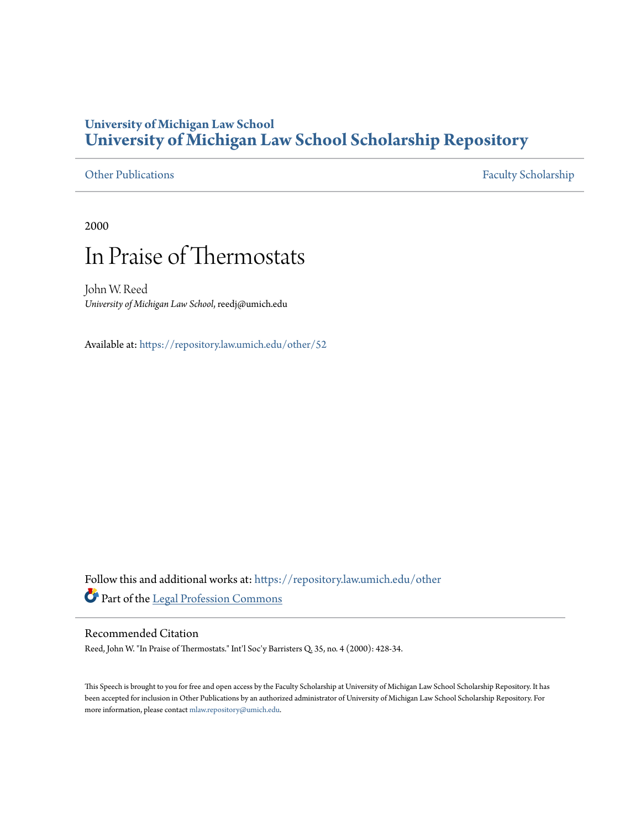## **University of Michigan Law School [University of Michigan Law School Scholarship Repository](https://repository.law.umich.edu?utm_source=repository.law.umich.edu%2Fother%2F52&utm_medium=PDF&utm_campaign=PDFCoverPages)**

[Other Publications](https://repository.law.umich.edu/other?utm_source=repository.law.umich.edu%2Fother%2F52&utm_medium=PDF&utm_campaign=PDFCoverPages) [Faculty Scholarship](https://repository.law.umich.edu/faculty_scholarship?utm_source=repository.law.umich.edu%2Fother%2F52&utm_medium=PDF&utm_campaign=PDFCoverPages)

2000

# In Praise of Thermostats

John W. Reed *University of Michigan Law School*, reedj@umich.edu

Available at: <https://repository.law.umich.edu/other/52>

Follow this and additional works at: [https://repository.law.umich.edu/other](https://repository.law.umich.edu/other?utm_source=repository.law.umich.edu%2Fother%2F52&utm_medium=PDF&utm_campaign=PDFCoverPages) Part of the [Legal Profession Commons](http://network.bepress.com/hgg/discipline/1075?utm_source=repository.law.umich.edu%2Fother%2F52&utm_medium=PDF&utm_campaign=PDFCoverPages)

### Recommended Citation

Reed, John W. "In Praise of Thermostats." Int'l Soc'y Barristers Q. 35, no. 4 (2000): 428-34.

This Speech is brought to you for free and open access by the Faculty Scholarship at University of Michigan Law School Scholarship Repository. It has been accepted for inclusion in Other Publications by an authorized administrator of University of Michigan Law School Scholarship Repository. For more information, please contact [mlaw.repository@umich.edu](mailto:mlaw.repository@umich.edu).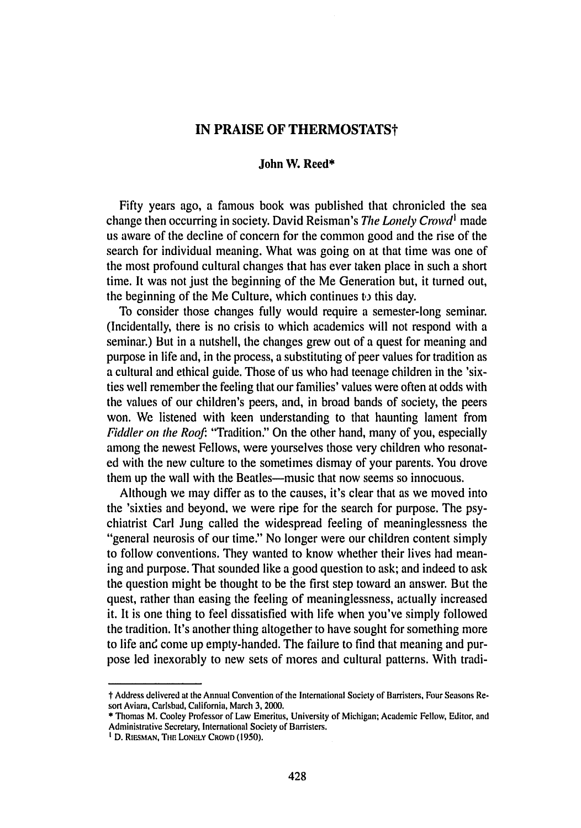#### **IN PRAISE OF THERMOSTATSt**

#### **John W. Reed\***

Fifty years ago, a famous book was published that chronicled the sea change then occurring in society. David Reisman's The Lonely Crowd<sup>1</sup> made us aware of the decline of concern for the common good and the rise of the search for individual meaning. What was going on at that time was one of the most profound cultural changes that has ever taken place in such a short time. It was not just the beginning of the Me Generation but, it turned out, the beginning of the Me Culture, which continues to this day.

To consider those changes fully would require a semester-long seminar. (Incidentally, there is no crisis to which academics will not respond with a seminar.) But in a nutshell, the changes grew out of a quest for meaning and purpose in life and, in the process, a substituting of peer values for tradition as a cultural and ethical guide. Those of us who had teenage children in the 'sixties well remember the feeling that our families' values were often at odds with the values of our children's peers, and, in broad bands of society, the peers won. We listened with keen understanding to that haunting lament from *Fiddler* on the Roof. "Tradition." On the other hand, many of you, especially among the newest Fellows, were yourselves those very children who resonated with the new culture to the sometimes dismay of your parents. You drove them up the wall with the Beatles--music that now seems so innocuous.

Although we may differ as to the causes, it's clear that as we moved into the 'sixties and beyond, we were ripe for the search for purpose. The psychiatrist Carl Jung called the widespread feeling of meaninglessness the "general neurosis of our time." No longer were our children content simply to follow conventions. They wanted to know whether their lives had meaning and purpose. That sounded like a good question to ask; and indeed to ask the question might be thought to be the first step toward an answer. But the quest, rather than easing the feeling of meaninglessness, actually increased it. It is one thing to feel dissatisfied with life when you've simply followed the tradition. It's another thing altogether to have sought for something more to life and come up empty-handed. The failure to find that meaning and purpose **led** inexorably to new sets of mores and cultural patterns. With tradi-

t Address delivered at the Annual Convention of the International Society of Barristers, Four Seasons **Re**sort Aviara, Carlsbad, California, March **3,** 2000.

**<sup>\*</sup>** Thomas M. Cooley Professor of Law Emeritus, University of Michigan; Academic Fellow, Editor, and Administrative Secretary, International Society of Barristers.

**I D. RIESMAN, Tim. LONrLY CROWD (1950).**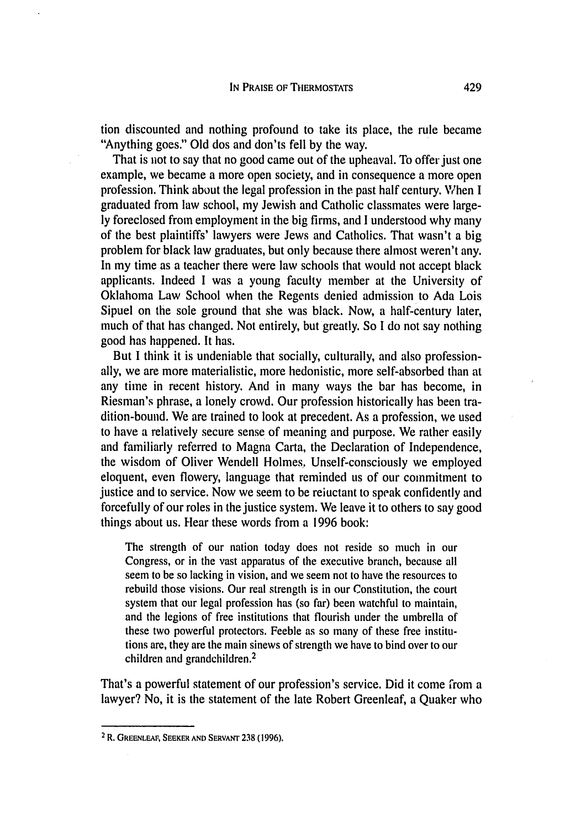tion discounted and nothing profound to take its place, the rule became "Anything goes." Old dos and don'ts fell by the way.

That is not to say that no good came out of the upheaval. To offer just one example, we became a more open society, and in consequence a more open profession. Think about the legal profession in the past half century. When I graduated from law school, my Jewish and Catholic classmates were largely foreclosed from employment in the big firms, and I understood why many of the best plaintiffs' lawyers were Jews and Catholics. That wasn't a big problem for black law graduates, but only because there almost weren't any. In my time as a teacher there were law schools that would not accept black applicants. Indeed I was a young faculty member at the University of Oklahoma Law School when the Regents denied admission to Ada Lois Sipuel on the sole ground that she was black. Now, a half-century later, much of that has changed. Not entirely, but greatly. So I do not say nothing good has happened. It has.

But I think it is undeniable that socially, culturally, and also professionally, we are more materialistic, more hedonistic, more self-absorbed than at any time in recent history. And in many ways the bar has become, in Riesman's phrase, a lonely crowd. Our profession historically has been tradition-bound. We are trained to look at precedent. As a profession, we used to have a relatively secure sense of meaning and purpose. We rather easily and familiarly referred to Magna Carta, the Declaration of Independence, the wisdom of Oliver Wendell Holmes. Unself-consciously we employed eloquent, even flowery, language that reminded us of our commitment to justice and to service. Now we seem to be reiuctant to speak confidently and forcefully of our roles in the justice system. We leave it to others to say good things about us. Hear these words from a 1996 book:

The strength of our nation today does not reside so much in our Congress, or in the vast apparatus of the executive branch, because all seem to be so lacking in vision, and we seem not to have the resources to rebuild those visions. Our real strength is in our Constitution, the court system that our legal profession has (so far) been watchful to maintain, and the legions of free institutions that flourish under the umbrella of these two powerful protectors. Feeble as so many of these free institutions are, they are the main sinews of strength we have to bind over to our children and grandchildren.<sup>2</sup>

That's a powerful statement of our profession's service. Did it come from a lawyer? No, it is the statement of the late Robert Greenleaf, a Quaker who

**<sup>2</sup>** R. **GREENLEAF, SEEKER AND SERVANT 238** (1996).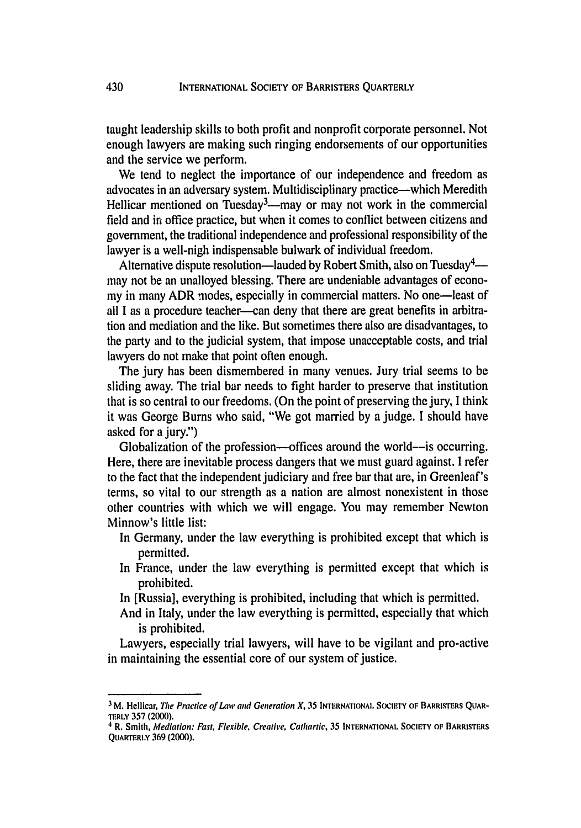taught leadership skills to both profit and nonprofit corporate personnel. Not enough lawyers are making such ringing endorsements of our opportunities and the service we perform.

We tend to neglect the importance of our independence and freedom as advocates in an adversary system. Multidisciplinary practice—which Meredith Hellicar mentioned on Tuesday<sup>3</sup>—-may or may not work in the commercia field and in office practice, but when it comes to conflict between citizens and government, the traditional independence and professional responsibility of the lawyer is a well-nigh indispensable bulwark of individual freedom.

Alternative dispute resolution—lauded by Robert Smith, also on Tuesday<sup>4</sup> may not be an unalloyed blessing. There are undeniable advantages of economy in many ADR modes, especially in commercial matters. No one—least of all I as a procedure teacher—can deny that there are great benefits in arbitration and mediation and the like. But sometimes there also are disadvantages, to the party and to the judicial system, that impose unacceptable costs, and trial lawyers do not make that point often enough.

The jury has been dismembered in many venues. Jury trial seems to be sliding away. The trial bar needs to fight harder to preserve that institution that is so central to our freedoms. (On the point of preserving the jury, I think it was George Bums who said, "We got married by a judge. I should have asked for a jury.")

Globalization of the profession—offices around the world—is occurring. Here, there are inevitable process dangers that we must guard against. I refer to the fact that the independent judiciary and free bar that are, in Greenleaf's terms, so vital to our strength as a nation are almost nonexistent in those other countries with which we will engage. You may remember Newton Minnow's little list:

- In Germany, under the law everything is prohibited except that which is permitted.
- In France, under the law everything is permitted except that which is prohibited.
- In [Russia], everything is prohibited, including that which is permitted.
- And in Italy, under the law everything is permitted, especially that which is prohibited.

Lawyers, especially trial lawyers, will have to be vigilant and pro-active in maintaining the essential core of our system of justice.

430

<sup>&</sup>lt;sup>3</sup> M. Hellicar, The Practice of Law and Generation X, 35 INTERNATIONAL SOCIETY OF BARRISTERS QUAR-**TERLY 357** (2000).

**<sup>4</sup>** R. Smith, Mediation: Fast, Flexible, Creative, *Cathartic,* **35 INTERNATIONAL Socuy OF BARRISTERS** QUARTERLY 369 (2000).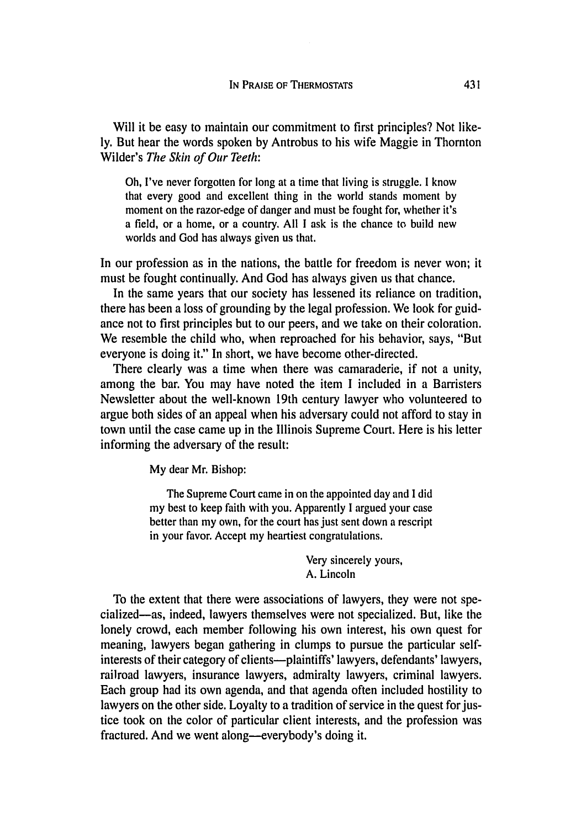Will it be easy to maintain our commitment to first principles? Not likely. But hear the words spoken **by** Antrobus to his wife Maggie in Thornton Wilder's *The Skin of Our Teeth:*

Oh, I've never forgotten for long at a time that living is struggle. I know that every good and excellent thing in the world stands moment by moment on the razor-edge of danger and must be fought for, whether it's a field, or a home, or a country. All I ask is the chance to build new worlds and God has always given us that.

In our profession as in the nations, the battle for freedom is never won; it must be fought continually. And God has always given us that chance.

In the same years that our society has lessened its reliance on tradition, there has been a loss of grounding by the legal profession. We look for guidance not to first principles but to our peers, and we take on their coloration. We resemble the child who, when reproached for his behavior, says, "But everyone is doing it." In short, we have become other-directed.

There clearly was a time when there was camaraderie, if not a unity, among the bar. You may have noted the item I included in a Barristers Newsletter about the well-known 19th century lawyer who volunteered to argue both sides of an appeal when his adversary could not afford to stay in town until the case came up in the Illinois Supreme Court. Here is his letter informing the adversary of the result:

My dear Mr. Bishop:

The Supreme Court came in on the appointed day and I did my best to keep faith with you. Apparently I argued your case better than my own, for the court has just sent down a rescript in your favor. Accept my heartiest congratulations.

> Very sincerely yours, A. Lincoln

To the extent that there were associations of lawyers, they were not specialized-as, indeed, lawyers themselves were not specialized. But, like the lonely crowd, each member following his own interest, his own quest for meaning, lawyers began gathering in clumps to pursue the particular selfinterests of their category of clients--plaintiffs' lawyers, defendants' lawyers, railroad lawyers, insurance lawyers, admiralty lawyers, criminal lawyers. Each group had its own agenda, and that agenda often included hostility to lawyers on the other side. Loyalty to a tradition of service in the quest for justice took on the color of particular client interests, and the profession was fractured. And we went along--everybody's doing it.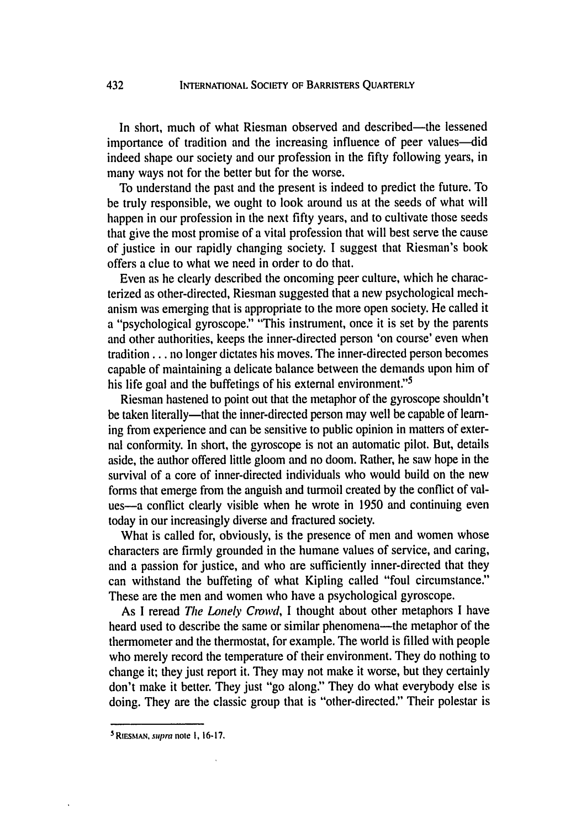In short, much of what Riesman observed and described-the lessened importance of tradition and the increasing influence of peer values—did indeed shape our society and our profession in the fifty following years, in many ways not for the better but for the worse.

To understand the past and the present is indeed to predict the future. To be truly responsible, we ought to look around us at the seeds of what will happen in our profession in the next fifty years, and to cultivate those seeds that give the most promise of a vital profession that will best serve the cause of justice in our rapidly changing society. I suggest that Riesman's book offers a clue to what we need in order to do that.

Even as he clearly described the oncoming peer culture, which he characterized as other-directed, Riesman suggested that a new psychological mechanism was emerging that is appropriate to the more open society. He called it a "psychological gyroscope." "This instrument, once it is set by the parents and other authorities, keeps the inner-directed person 'on course' even when tradition... no longer dictates his moves. The inner-directed person becomes capable of maintaining a delicate balance between the demands upon him of his life goal and the buffetings of his external environment."<sup>5</sup>

Riesman hastened to point out that the metaphor of the gyroscope shouldn't be taken literally—that the inner-directed person may well be capable of learning from experience and can be sensitive to public opinion in matters of external conformity. In short, the gyroscope is not an automatic pilot. But, details aside, the author offered little gloom and no doom. Rather, he saw hope in the survival of a core of inner-directed individuals who would build on the new forms that emerge from the anguish and turmoil created by the conflict of values-a conflict clearly visible when he wrote in 1950 and continuing even today in our increasingly diverse and fractured society.

What is called for, obviously, is the presence of men and women whose characters are firmly grounded in the humane values of service, and caring, and a passion for justice, and who are sufficiently inner-directed that they can withstand the buffeting of what Kipling called "foul circumstance." These are the men and women who have a psychological gyroscope.

As I reread The Lonely *Crowd,* I thought about other metaphors I have heard used to describe the same or similar phenomena-the metaphor of the thermometer and the thermostat, for example. The world is filled with people who merely record the temperature of their environment. They do nothing to change it; they just report it. They may not make it worse, but they certainly don't make it better. They just "go along." They do what everybody else is doing. They are the classic group that is "other-directed.' Their polestar is

**<sup>5</sup>** RIESMAN, supra note **1, 16-17.**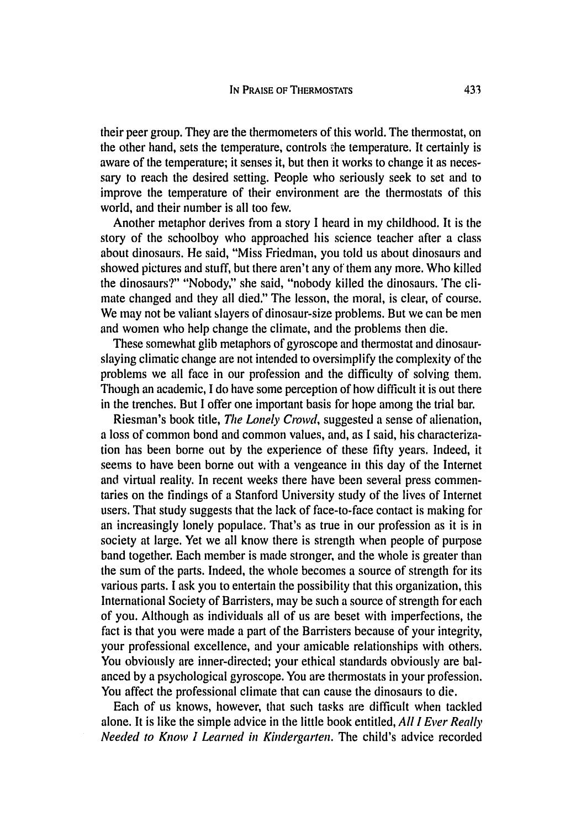their peer group. They are the thermometers of this world. The thermostat, on the other hand, sets the temperature, controls the temperature. It certainly is aware of the temperature; it senses it, but then it works to change it as necessary to reach the desired setting. People who seriously seek to set and to improve the temperature of their environment are the thermostats of this world, and their number is all too few.

Another metaphor derives from a story I heard in my childhood. It is the story of the schoolboy who approached his science teacher after a class about dinosaurs. He said, "Miss Friedman, you told us about dinosaurs and showed pictures and stuff, but there aren't any of them any more. Who killed the dinosaurs?" "Nobody," she said, "nobody killed the dinosaurs. The climate changed and they all died." The lesson, the moral, is clear, of course. We may not be valiant slayers of dinosaur-size problems. But we can be men and women who help change the climate, and the problems then die.

These somewhat glib metaphors of gyroscope and thermostat and dinosaurslaying climatic change are not intended to oversimplify the complexity of the problems we all face in our profession and the difficulty of solving them. Though an academic, I do have some perception of how difficult it is out there in the trenches. But I offer one important basis for hope among the trial bar.

Riesman's book title, The Lonely Crowd, suggested a sense of alienation, a loss of common bond and common values, and, as I said, his characterization has been borne out by the experience of these fifty years. Indeed, it seems to have been borne out with a vengeance in this day of the Internet and virtual reality. In recent weeks there have been several press commentaries on the findings of a Stanford University study of the lives of Internet users. That study suggests that the lack of face-to-face contact is making for an increasingly lonely populace. That's as true in our profession as it is in society at large. Yet we all know there is strength when people of purpose band together. Each member is made stronger, and the whole is greater than the sum of the parts. Indeed, the whole becomes a source of strength for its various parts. I ask you to entertain the possibility that this organization, this International Society of Barristers, may be such a source of strength for each of you. Although as individuals all of us are beset with imperfections, the fact is that you were made a part of the Barristers because of your integrity, your professional excellence, and your amicable relationships with others. You obviously are inner-directed; your ethical standards obviously are balanced by a psychological gyroscope. You are thermostats in your profession. You affect the professional climate that can cause the dinosaurs to die.

Each of us knows, however, that such tasks are difficult when tackled alone. It is like the simple advice in the little book entitled, All I Ever Really Needed *to Know I Learned in Kindergarten.* The child's advice recorded